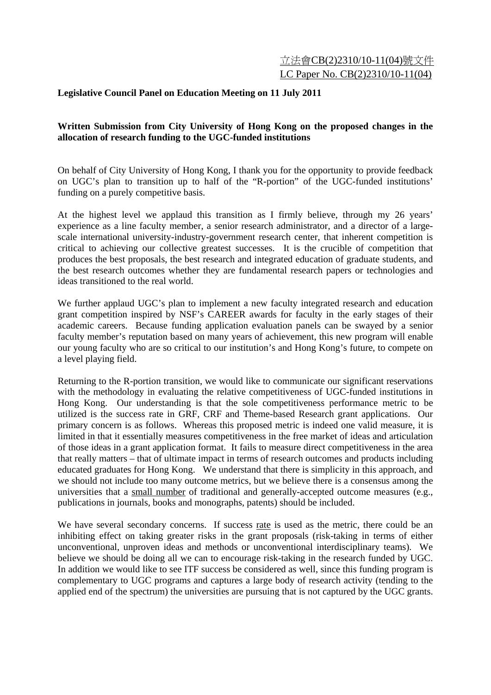## 立法會CB(2)2310/10-11(04)號文件 LC Paper No. CB(2)2310/10-11(04)

## **Legislative Council Panel on Education Meeting on 11 July 2011**

## **Written Submission from City University of Hong Kong on the proposed changes in the allocation of research funding to the UGC-funded institutions**

On behalf of City University of Hong Kong, I thank you for the opportunity to provide feedback on UGC's plan to transition up to half of the "R-portion" of the UGC-funded institutions' funding on a purely competitive basis.

At the highest level we applaud this transition as I firmly believe, through my 26 years' experience as a line faculty member, a senior research administrator, and a director of a largescale international university-industry-government research center, that inherent competition is critical to achieving our collective greatest successes. It is the crucible of competition that produces the best proposals, the best research and integrated education of graduate students, and the best research outcomes whether they are fundamental research papers or technologies and ideas transitioned to the real world.

We further applaud UGC's plan to implement a new faculty integrated research and education grant competition inspired by NSF's CAREER awards for faculty in the early stages of their academic careers. Because funding application evaluation panels can be swayed by a senior faculty member's reputation based on many years of achievement, this new program will enable our young faculty who are so critical to our institution's and Hong Kong's future, to compete on a level playing field.

Returning to the R-portion transition, we would like to communicate our significant reservations with the methodology in evaluating the relative competitiveness of UGC-funded institutions in Hong Kong. Our understanding is that the sole competitiveness performance metric to be utilized is the success rate in GRF, CRF and Theme-based Research grant applications. Our primary concern is as follows. Whereas this proposed metric is indeed one valid measure, it is limited in that it essentially measures competitiveness in the free market of ideas and articulation of those ideas in a grant application format. It fails to measure direct competitiveness in the area that really matters – that of ultimate impact in terms of research outcomes and products including educated graduates for Hong Kong. We understand that there is simplicity in this approach, and we should not include too many outcome metrics, but we believe there is a consensus among the universities that a small number of traditional and generally-accepted outcome measures (e.g., publications in journals, books and monographs, patents) should be included.

We have several secondary concerns. If success rate is used as the metric, there could be an inhibiting effect on taking greater risks in the grant proposals (risk-taking in terms of either unconventional, unproven ideas and methods or unconventional interdisciplinary teams). We believe we should be doing all we can to encourage risk-taking in the research funded by UGC. In addition we would like to see ITF success be considered as well, since this funding program is complementary to UGC programs and captures a large body of research activity (tending to the applied end of the spectrum) the universities are pursuing that is not captured by the UGC grants.